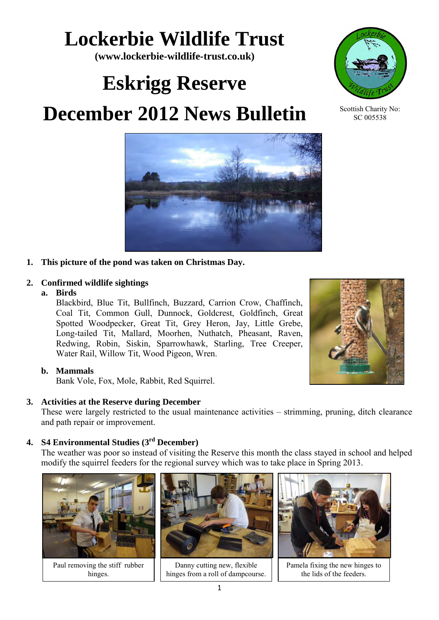# **Lockerbie Wildlife Trust**

**(www.lockerbie-wildlife-trust.co.uk)** 

# **Eskrigg Reserve**

# **December 2012 News Bulletin**



### **2. Confirmed wildlife sightings**

#### **a. Birds**

Blackbird, Blue Tit, Bullfinch, Buzzard, Carrion Crow, Chaffinch, Coal Tit, Common Gull, Dunnock, Goldcrest, Goldfinch, Great Spotted Woodpecker, Great Tit, Grey Heron, Jay, Little Grebe, Long-tailed Tit, Mallard, Moorhen, Nuthatch, Pheasant, Raven, Redwing, Robin, Siskin, Sparrowhawk, Starling, Tree Creeper, Water Rail, Willow Tit, Wood Pigeon, Wren.

#### **b. Mammals**

Bank Vole, Fox, Mole, Rabbit, Red Squirrel.

#### **3. Activities at the Reserve during December**

These were largely restricted to the usual maintenance activities – strimming, pruning, ditch clearance and path repair or improvement.

## **4. S4 Environmental Studies (3rd December)**

The weather was poor so instead of visiting the Reserve this month the class stayed in school and helped modify the squirrel feeders for the regional survey which was to take place in Spring 2013.

Paul removing the stiff rubber hinges.



Danny cutting new, flexible hinges from a roll of dampcourse.



Pamela fixing the new hinges to the lids of the feeders.





Scottish Charity No: SC 005538

1